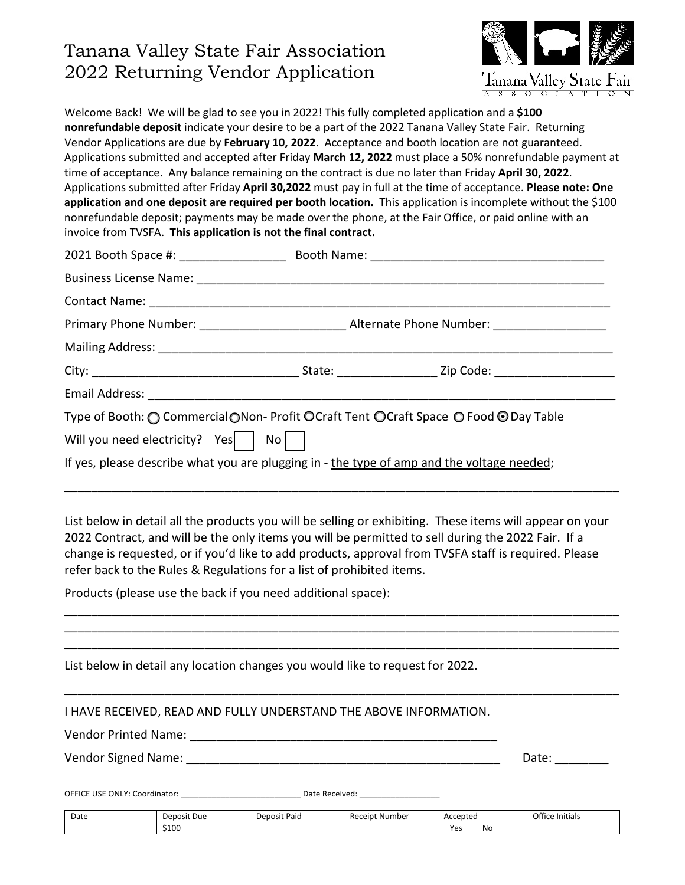# Tanana Valley State Fair Association 2022 Returning Vendor Application



Welcome Back! We will be glad to see you in 2022! This fully completed application and a **\$100 nonrefundable deposit** indicate your desire to be a part of the 2022 Tanana Valley State Fair. Returning Vendor Applications are due by **February 10, 2022**. Acceptance and booth location are not guaranteed. Applications submitted and accepted after Friday **March 12, 2022** must place a 50% nonrefundable payment at time of acceptance. Any balance remaining on the contract is due no later than Friday **April 30, 2022**. Applications submitted after Friday **April 30,2022** must pay in full at the time of acceptance. **Please note: One application and one deposit are required per booth location.** This application is incomplete without the \$100 nonrefundable deposit; payments may be made over the phone, at the Fair Office, or paid online with an invoice from TVSFA. **This application is not the final contract.** 

| Type of Booth: ○ Commercial○Non- Profit ○ Craft Tent ○ Craft Space ○ Food ● Day Table      |  |  |  |
|--------------------------------------------------------------------------------------------|--|--|--|
| Will you need electricity? Yes   No                                                        |  |  |  |
| If yes, please describe what you are plugging in - the type of amp and the voltage needed; |  |  |  |

List below in detail all the products you will be selling or exhibiting. These items will appear on your 2022 Contract, and will be the only items you will be permitted to sell during the 2022 Fair. If a change is requested, or if you'd like to add products, approval from TVSFA staff is required. Please refer back to the Rules & Regulations for a list of prohibited items.

\_\_\_\_\_\_\_\_\_\_\_\_\_\_\_\_\_\_\_\_\_\_\_\_\_\_\_\_\_\_\_\_\_\_\_\_\_\_\_\_\_\_\_\_\_\_\_\_\_\_\_\_\_\_\_\_\_\_\_\_\_\_\_\_\_\_\_\_\_\_\_\_\_\_\_\_\_\_\_\_\_\_\_ \_\_\_\_\_\_\_\_\_\_\_\_\_\_\_\_\_\_\_\_\_\_\_\_\_\_\_\_\_\_\_\_\_\_\_\_\_\_\_\_\_\_\_\_\_\_\_\_\_\_\_\_\_\_\_\_\_\_\_\_\_\_\_\_\_\_\_\_\_\_\_\_\_\_\_\_\_\_\_\_\_\_\_ \_\_\_\_\_\_\_\_\_\_\_\_\_\_\_\_\_\_\_\_\_\_\_\_\_\_\_\_\_\_\_\_\_\_\_\_\_\_\_\_\_\_\_\_\_\_\_\_\_\_\_\_\_\_\_\_\_\_\_\_\_\_\_\_\_\_\_\_\_\_\_\_\_\_\_\_\_\_\_\_\_\_\_

\_\_\_\_\_\_\_\_\_\_\_\_\_\_\_\_\_\_\_\_\_\_\_\_\_\_\_\_\_\_\_\_\_\_\_\_\_\_\_\_\_\_\_\_\_\_\_\_\_\_\_\_\_\_\_\_\_\_\_\_\_\_\_\_\_\_\_\_\_\_\_\_\_\_\_\_\_\_\_\_\_\_\_

Products (please use the back if you need additional space):

| List below in detail any location changes you would like to request for 2022. |  |
|-------------------------------------------------------------------------------|--|
|-------------------------------------------------------------------------------|--|

Vendor Printed Name: \_\_\_\_\_\_\_\_\_\_\_\_\_\_\_\_\_\_\_\_\_\_\_\_\_\_\_\_\_\_\_\_\_\_\_\_\_\_\_\_\_\_\_\_\_\_

Vendor Signed Name: \_\_\_\_\_\_\_\_\_\_\_\_\_\_\_\_\_\_\_\_\_\_\_\_\_\_\_\_\_\_\_\_\_\_\_\_\_\_\_\_\_\_\_\_\_\_\_ Date: \_\_\_\_\_\_\_\_

OFFICE USE ONLY: Coordinator: \_\_\_\_\_\_\_\_\_\_\_\_\_\_\_\_\_\_\_\_\_\_\_\_\_\_\_ Date Received: \_\_\_\_\_\_\_\_\_\_\_\_\_\_\_\_\_\_

| Date | Deposit Due | Deposit Paid | . Number<br>Receipt | Accepteo          | Office<br>.<br>: Initials |
|------|-------------|--------------|---------------------|-------------------|---------------------------|
|      | \$100       |              |                     | V۵.<br>IVΟ<br>. . |                           |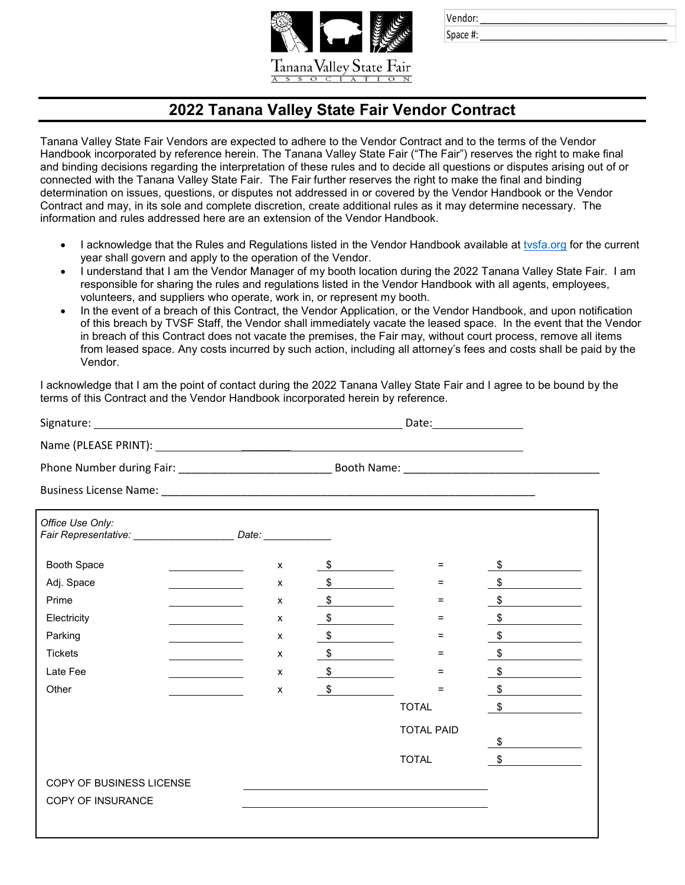

| Vendor: |  |  |  |
|---------|--|--|--|
|         |  |  |  |

Space #:

### **2022 Tanana Valley State Fair Vendor Contract**

Tanana Valley State Fair Vendors are expected to adhere to the Vendor Contract and to the terms of the Vendor Handbook incorporated by reference herein. The Tanana Valley State Fair ("The Fair") reserves the right to make final and binding decisions regarding the interpretation of these rules and to decide all questions or disputes arising out of or connected with the Tanana Valley State Fair. The Fair further reserves the right to make the final and binding determination on issues, questions, or disputes not addressed in or covered by the Vendor Handbook or the Vendor Contract and may, in its sole and complete discretion, create additional rules as it may determine necessary. The information and rules addressed here are an extension of the Vendor Handbook.

- I acknowledge that the Rules and Regulations listed in the Vendor Handbook available at [tvsfa.org](https://www.tvsfa.org/p/getconnected/vendor-information) for the current year shall govern and apply to the operation of the Vendor.
- I understand that I am the Vendor Manager of my booth location during the 2022 Tanana Valley State Fair. I am responsible for sharing the rules and regulations listed in the Vendor Handbook with all agents, employees, volunteers, and suppliers who operate, work in, or represent my booth.
- In the event of a breach of this Contract, the Vendor Application, or the Vendor Handbook, and upon notification of this breach by TVSF Staff, the Vendor shall immediately vacate the leased space. In the event that the Vendor in breach of this Contract does not vacate the premises, the Fair may, without court process, remove all items from leased space. Any costs incurred by such action, including all attorney's fees and costs shall be paid by the Vendor.

I acknowledge that I am the point of contact during the 2022 Tanana Valley State Fair and I agree to be bound by the terms of this Contract and the Vendor Handbook incorporated herein by reference.

|                                                                                        |                                     |   |               | Date: _________________ |    |
|----------------------------------------------------------------------------------------|-------------------------------------|---|---------------|-------------------------|----|
|                                                                                        |                                     |   |               |                         |    |
|                                                                                        |                                     |   |               |                         |    |
|                                                                                        |                                     |   |               |                         |    |
| Office Use Only:<br>Fair Representative: _______________________ Date: _______________ |                                     |   |               |                         |    |
| Booth Space                                                                            | <u> Liberal Andrew Maria (1986)</u> | X | $\frac{1}{2}$ | $=$                     | \$ |
| Adj. Space                                                                             |                                     | X | $\frac{1}{2}$ | $=$                     |    |
| Prime                                                                                  |                                     | X | $\frac{1}{2}$ | $=$                     | \$ |
| Electricity                                                                            |                                     | X | $\frac{1}{2}$ | $=$                     | \$ |
| Parking                                                                                |                                     | X | $\frac{1}{2}$ | $=$                     | \$ |
| <b>Tickets</b>                                                                         |                                     | X | $\frac{1}{2}$ | =                       | \$ |
| Late Fee                                                                               |                                     | X | $\mathsf{\$}$ | =                       | \$ |
| Other                                                                                  |                                     | X | \$            | =                       | \$ |
|                                                                                        |                                     |   |               | <b>TOTAL</b>            | \$ |
|                                                                                        |                                     |   |               | <b>TOTAL PAID</b>       |    |
|                                                                                        |                                     |   |               |                         | \$ |
|                                                                                        |                                     |   |               | <b>TOTAL</b>            | \$ |
| COPY OF BUSINESS LICENSE                                                               |                                     |   |               |                         |    |
| <b>COPY OF INSURANCE</b>                                                               |                                     |   |               |                         |    |
|                                                                                        |                                     |   |               |                         |    |
|                                                                                        |                                     |   |               |                         |    |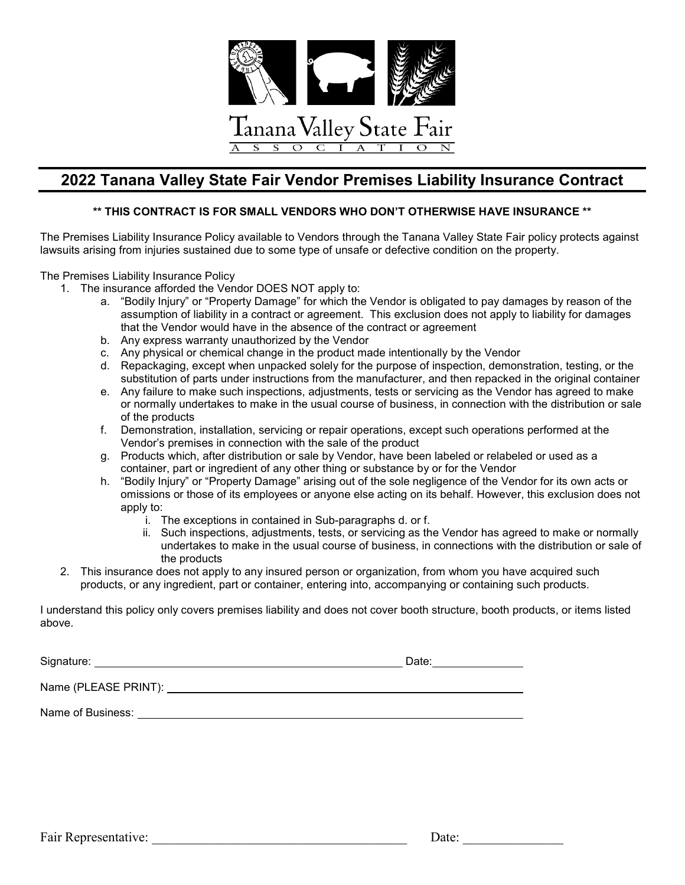

#### **2022 Tanana Valley State Fair Vendor Premises Liability Insurance Contract**

#### **\*\* THIS CONTRACT IS FOR SMALL VENDORS WHO DON'T OTHERWISE HAVE INSURANCE \*\***

The Premises Liability Insurance Policy available to Vendors through the Tanana Valley State Fair policy protects against lawsuits arising from injuries sustained due to some type of unsafe or defective condition on the property.

The Premises Liability Insurance Policy

- 1. The insurance afforded the Vendor DOES NOT apply to:
	- a. "Bodily Injury" or "Property Damage" for which the Vendor is obligated to pay damages by reason of the assumption of liability in a contract or agreement. This exclusion does not apply to liability for damages that the Vendor would have in the absence of the contract or agreement
	- b. Any express warranty unauthorized by the Vendor
	- c. Any physical or chemical change in the product made intentionally by the Vendor
	- d. Repackaging, except when unpacked solely for the purpose of inspection, demonstration, testing, or the substitution of parts under instructions from the manufacturer, and then repacked in the original container
	- e. Any failure to make such inspections, adjustments, tests or servicing as the Vendor has agreed to make or normally undertakes to make in the usual course of business, in connection with the distribution or sale of the products
	- f. Demonstration, installation, servicing or repair operations, except such operations performed at the Vendor's premises in connection with the sale of the product
	- g. Products which, after distribution or sale by Vendor, have been labeled or relabeled or used as a container, part or ingredient of any other thing or substance by or for the Vendor
	- h. "Bodily Injury" or "Property Damage" arising out of the sole negligence of the Vendor for its own acts or omissions or those of its employees or anyone else acting on its behalf. However, this exclusion does not apply to:
		- i. The exceptions in contained in Sub-paragraphs d. or f.
		- ii. Such inspections, adjustments, tests, or servicing as the Vendor has agreed to make or normally undertakes to make in the usual course of business, in connections with the distribution or sale of the products
- 2. This insurance does not apply to any insured person or organization, from whom you have acquired such products, or any ingredient, part or container, entering into, accompanying or containing such products.

I understand this policy only covers premises liability and does not cover booth structure, booth products, or items listed above.

Signature: Date:

Name (PLEASE PRINT):

Name of Business: **Name of Business:**  $\blacksquare$